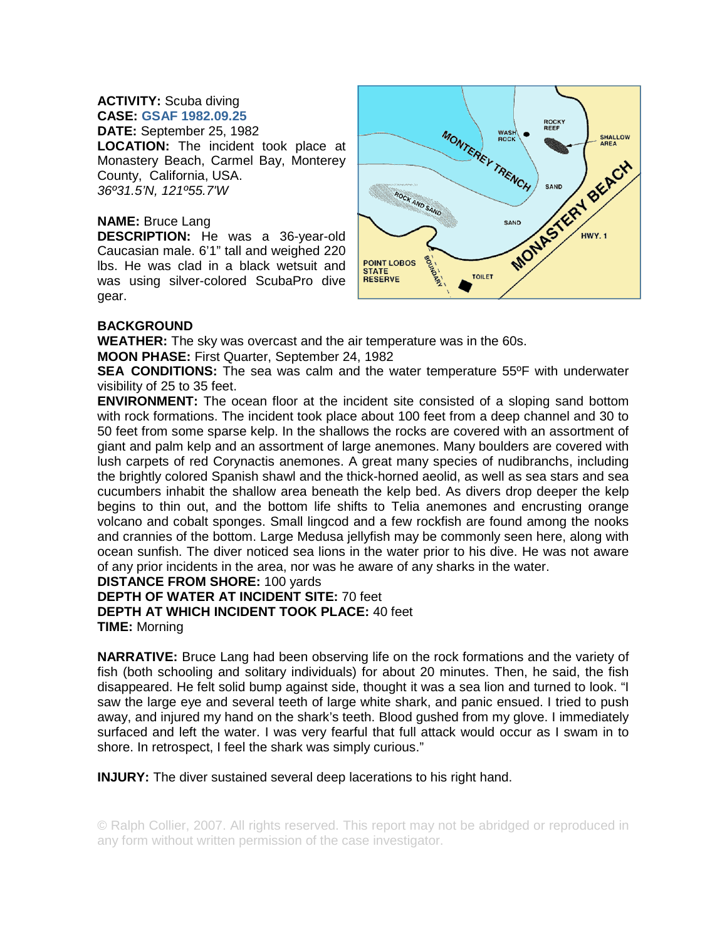## **ACTIVITY:** Scuba diving **CASE: GSAF 1982.09.25**

**DATE:** September 25, 1982 **LOCATION:** The incident took place at Monastery Beach, Carmel Bay, Monterey County, California, USA. *36º31.5'N, 121º55.7'W*

## **NAME:** Bruce Lang

**DESCRIPTION:** He was a 36-year-old Caucasian male. 6'1" tall and weighed 220 lbs. He was clad in a black wetsuit and was using silver-colored ScubaPro dive gear.



## **BACKGROUND**

**WEATHER:** The sky was overcast and the air temperature was in the 60s.

**MOON PHASE:** First Quarter, September 24, 1982

**SEA CONDITIONS:** The sea was calm and the water temperature 55ºF with underwater visibility of 25 to 35 feet.

**ENVIRONMENT:** The ocean floor at the incident site consisted of a sloping sand bottom with rock formations. The incident took place about 100 feet from a deep channel and 30 to 50 feet from some sparse kelp. In the shallows the rocks are covered with an assortment of giant and palm kelp and an assortment of large anemones. Many boulders are covered with lush carpets of red Corynactis anemones. A great many species of nudibranchs, including the brightly colored Spanish shawl and the thick-horned aeolid, as well as sea stars and sea cucumbers inhabit the shallow area beneath the kelp bed. As divers drop deeper the kelp begins to thin out, and the bottom life shifts to Telia anemones and encrusting orange volcano and cobalt sponges. Small lingcod and a few rockfish are found among the nooks and crannies of the bottom. Large Medusa jellyfish may be commonly seen here, along with ocean sunfish. The diver noticed sea lions in the water prior to his dive. He was not aware of any prior incidents in the area, nor was he aware of any sharks in the water.

## **DISTANCE FROM SHORE:** 100 yards

**DEPTH OF WATER AT INCIDENT SITE:** 70 feet **DEPTH AT WHICH INCIDENT TOOK PLACE:** 40 feet **TIME:** Morning

**NARRATIVE:** Bruce Lang had been observing life on the rock formations and the variety of fish (both schooling and solitary individuals) for about 20 minutes. Then, he said, the fish disappeared. He felt solid bump against side, thought it was a sea lion and turned to look. "I saw the large eye and several teeth of large white shark, and panic ensued. I tried to push away, and injured my hand on the shark's teeth. Blood gushed from my glove. I immediately surfaced and left the water. I was very fearful that full attack would occur as I swam in to shore. In retrospect, I feel the shark was simply curious."

**INJURY:** The diver sustained several deep lacerations to his right hand.

© Ralph Collier, 2007. All rights reserved. This report may not be abridged or reproduced in any form without written permission of the case investigator.